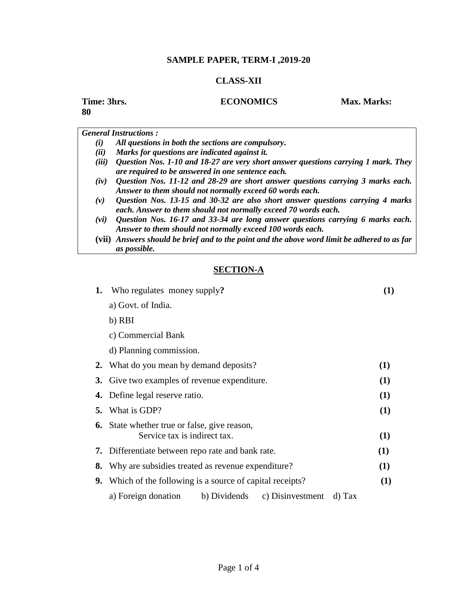## **SAMPLE PAPER, TERM-I ,2019-20**

## **CLASS-XII**

| Time: 3hrs.<br>80 | <b>ECONOMICS</b>                                   | <b>Max. Marks:</b> |
|-------------------|----------------------------------------------------|--------------------|
|                   | <b>General Instructions:</b>                       |                    |
| (i)               | All questions in both the sections are compulsory. |                    |
| (ii)              | Marks for questions are indicated against it.      |                    |
|                   |                                                    |                    |

- *(iii) Question Nos. 1-10 and 18-27 are very short answer questions carrying 1 mark. They are required to be answered in one sentence each.*
- *(iv) Question Nos. 11-12 and 28-29 are short answer questions carrying 3 marks each. Answer to them should not normally exceed 60 words each.*
- *(v) Question Nos. 13-15 and 30-32 are also short answer questions carrying 4 marks each. Answer to them should not normally exceed 70 words each.*
- *(vi) Question Nos. 16-17 and 33-34 are long answer questions carrying 6 marks each. Answer to them should not normally exceed 100 words each.*
- **(vii)** *Answers should be brief and to the point and the above word limit be adhered to as far as possible.*

## **SECTION-A**

| 1. | Who regulates money supply?                                                         |        |     |  |
|----|-------------------------------------------------------------------------------------|--------|-----|--|
|    | a) Govt. of India.                                                                  |        |     |  |
|    | b) RBI                                                                              |        |     |  |
|    | c) Commercial Bank                                                                  |        |     |  |
|    | d) Planning commission.                                                             |        |     |  |
|    | 2. What do you mean by demand deposits?                                             |        | (1) |  |
|    | 3. Give two examples of revenue expenditure.                                        |        |     |  |
|    | 4. Define legal reserve ratio.                                                      |        | (1) |  |
|    | <b>5.</b> What is GDP?                                                              |        | (1) |  |
|    | <b>6.</b> State whether true or false, give reason,<br>Service tax is indirect tax. |        | (1) |  |
| 7. | Differentiate between repo rate and bank rate.                                      |        | (1) |  |
| 8. | Why are subsidies treated as revenue expenditure?                                   |        |     |  |
|    | <b>9.</b> Which of the following is a source of capital receipts?                   |        | (1) |  |
|    | a) Foreign donation<br>b) Dividends<br>c) Disinvestment                             | d) Tax |     |  |
|    |                                                                                     |        |     |  |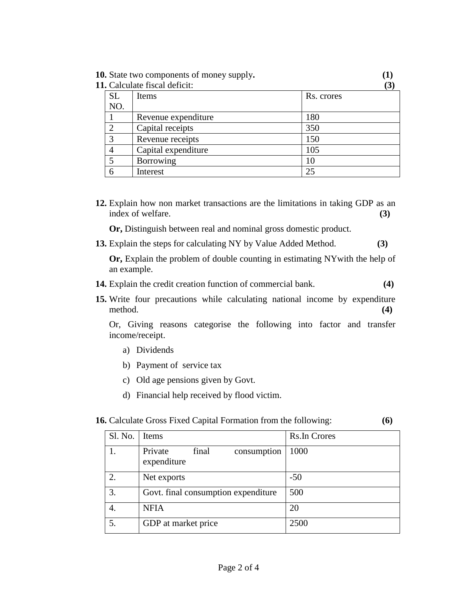**10.** State two components of money supply**. (1)**

**11.** Calculate fiscal deficit: **(3)**

| <b>SL</b> | Items               | Rs. crores |
|-----------|---------------------|------------|
| NO.       |                     |            |
|           | Revenue expenditure | 180        |
|           | Capital receipts    | 350        |
| 3         | Revenue receipts    | 150        |
|           | Capital expenditure | 105        |
|           | Borrowing           | 10         |
|           | Interest            | 25         |

**12.** Explain how non market transactions are the limitations in taking GDP as an index of welfare. **(3)**

**Or,** Distinguish between real and nominal gross domestic product.

**13.** Explain the steps for calculating NY by Value Added Method. **(3)**

**Or,** Explain the problem of double counting in estimating NYwith the help of an example.

- **14.** Explain the credit creation function of commercial bank. **(4)**
- **15.** Write four precautions while calculating national income by expenditure method. **(4)**

Or, Giving reasons categorise the following into factor and transfer income/receipt.

- a) Dividends
- b) Payment of service tax
- c) Old age pensions given by Govt.
- d) Financial help received by flood victim.

| <b>16.</b> Calculate Gross Fixed Capital Formation from the following: |  |  |  |  |  | (6) |
|------------------------------------------------------------------------|--|--|--|--|--|-----|
|------------------------------------------------------------------------|--|--|--|--|--|-----|

| Sl. No. | Items                                          | <b>Rs.In Crores</b> |
|---------|------------------------------------------------|---------------------|
|         | Private<br>consumption<br>final<br>expenditure | 1000                |
| 2.      | Net exports                                    | $-50$               |
| 3.      | Govt. final consumption expenditure            | 500                 |
| 4.      | <b>NFIA</b>                                    | 20                  |
| 5.      | GDP at market price                            | 2500                |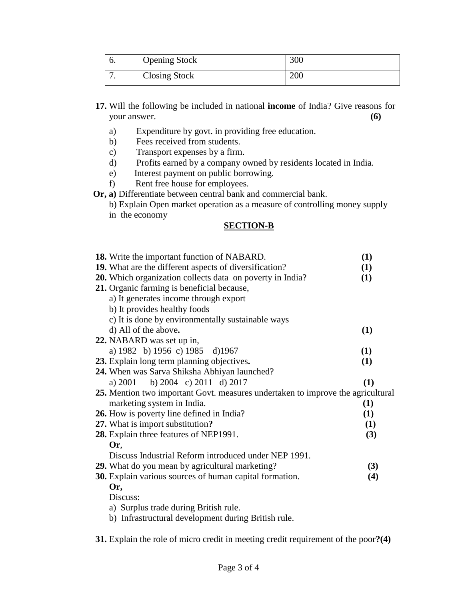| v. | <b>Opening Stock</b> | 300 |
|----|----------------------|-----|
|    | <b>Closing Stock</b> | 200 |

- **17.** Will the following be included in national **income** of India? Give reasons for your answer. **(6)**
	- a) Expenditure by govt. in providing free education.
	- b) Fees received from students.
	- c) Transport expenses by a firm.
	- d) Profits earned by a company owned by residents located in India.
	- e) Interest payment on public borrowing.
	- f) Rent free house for employees.
- **Or, a)** Differentiate between central bank and commercial bank.

| b) Explain Open market operation as a measure of controlling money supply |  |
|---------------------------------------------------------------------------|--|
| in the economy                                                            |  |

## **SECTION-B**

| 18. Write the important function of NABARD.                                     | (1) |
|---------------------------------------------------------------------------------|-----|
| 19. What are the different aspects of diversification?                          | (1) |
| 20. Which organization collects data on poverty in India?                       | (1) |
| 21. Organic farming is beneficial because,                                      |     |
| a) It generates income through export                                           |     |
| b) It provides healthy foods                                                    |     |
| c) It is done by environmentally sustainable ways                               |     |
| d) All of the above.                                                            | (1) |
| 22. NABARD was set up in,                                                       |     |
| a) 1982 b) 1956 c) 1985 d) 1967                                                 | (1) |
| 23. Explain long term planning objectives.                                      | (1) |
| 24. When was Sarva Shiksha Abhiyan launched?                                    |     |
| b) 2004 c) 2011 d) 2017<br>a) $2001$                                            | (1) |
| 25. Mention two important Govt. measures undertaken to improve the agricultural |     |
| marketing system in India.                                                      | (1) |
| <b>26.</b> How is poverty line defined in India?                                | (1) |
| 27. What is import substitution?                                                | (1) |
| 28. Explain three features of NEP1991.                                          | (3) |
| Or.                                                                             |     |
| Discuss Industrial Reform introduced under NEP 1991.                            |     |
|                                                                                 |     |
| 29. What do you mean by agricultural marketing?                                 | (3) |
| 30. Explain various sources of human capital formation.                         | (4) |
| Or,                                                                             |     |
| Discuss:                                                                        |     |
| a) Surplus trade during British rule.                                           |     |
| b) Infrastructural development during British rule.                             |     |
|                                                                                 |     |

**31.** Explain the role of micro credit in meeting credit requirement of the poor**?(4)**